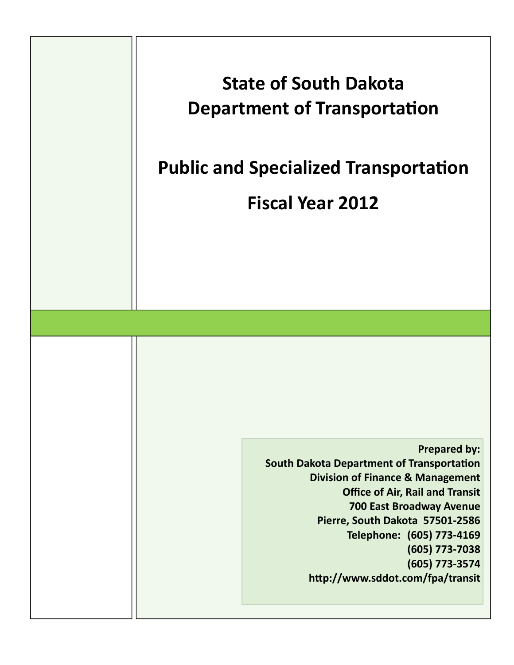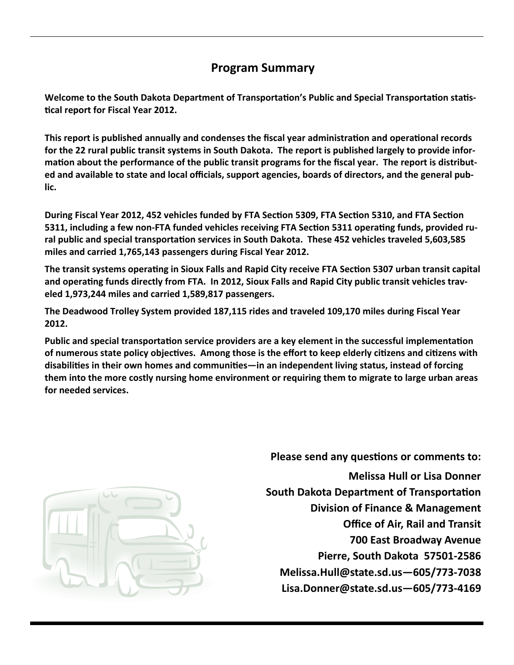# **Program Summary**

Welcome to the South Dakota Department of Transportation's Public and Special Transportation statis-**Ɵcal report for Fiscal Year 2012.** 

This report is published annually and condenses the fiscal year administration and operational records for the 22 rural public transit systems in South Dakota. The report is published largely to provide information about the performance of the public transit programs for the fiscal year. The report is distributed and available to state and local officials, support agencies, boards of directors, and the general pub**lic.**

During Fiscal Year 2012, 452 vehicles funded by FTA Section 5309, FTA Section 5310, and FTA Section 5311, including a few non-FTA funded vehicles receiving FTA Section 5311 operating funds, provided ru**ral public and special transportaƟon services in South Dakota. These 452 vehicles traveled 5,603,585 miles and carried 1,765,143 passengers during Fiscal Year 2012.** 

The transit systems operating in Sioux Falls and Rapid City receive FTA Section 5307 urban transit capital and operating funds directly from FTA. In 2012, Sioux Falls and Rapid City public transit vehicles trav**eled 1,973,244 miles and carried 1,589,817 passengers.** 

**The Deadwood Trolley System provided 187,115 rides and traveled 109,170 miles during Fiscal Year 2012.**

Public and special transportation service providers are a key element in the successful implementation of numerous state policy objectives. Among those is the effort to keep elderly citizens and citizens with **disabiliƟes in their own homes and communiƟes—in an independent living status, instead of forcing them into the more costly nursing home environment or requiring them to migrate to large urban areas for needed services.** 



**Please send any questions or comments to: Melissa Hull or Lisa Donner South Dakota Department of Transportation Division of Finance & Management Office of Air, Rail and Transit 700 East Broadway Avenue Pierre, South Dakota 57501‐2586 Melissa.Hull@state.sd.us—605/773‐7038 Lisa.Donner@state.sd.us—605/773‐4169**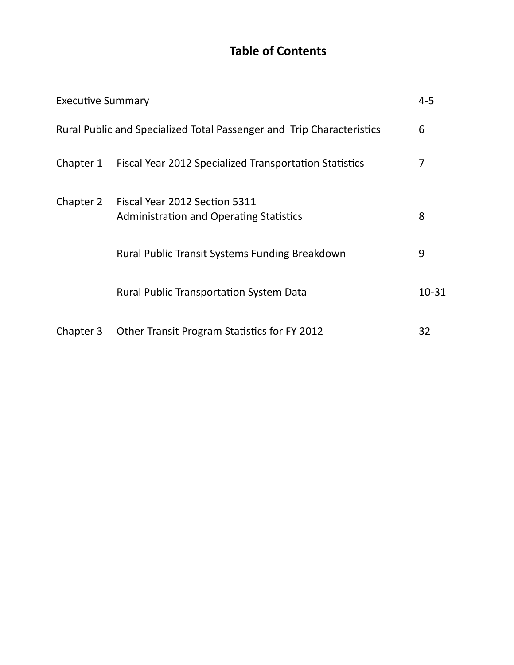# **Table of Contents**

| <b>Executive Summary</b> |                                                                                 |           |
|--------------------------|---------------------------------------------------------------------------------|-----------|
|                          | Rural Public and Specialized Total Passenger and Trip Characteristics           | 6         |
| Chapter 1                | Fiscal Year 2012 Specialized Transportation Statistics                          | 7         |
| Chapter 2                | Fiscal Year 2012 Section 5311<br><b>Administration and Operating Statistics</b> | 8         |
|                          | Rural Public Transit Systems Funding Breakdown                                  | 9         |
|                          | <b>Rural Public Transportation System Data</b>                                  | $10 - 31$ |
| Chapter 3                | Other Transit Program Statistics for FY 2012                                    | 32        |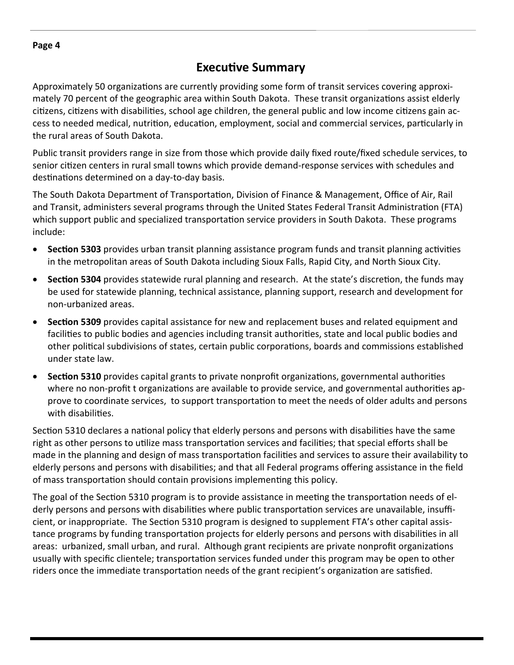## **ExecuƟve Summary**

Approximately 50 organizations are currently providing some form of transit services covering approximately 70 percent of the geographic area within South Dakota. These transit organizations assist elderly citizens, citizens with disabilities, school age children, the general public and low income citizens gain access to needed medical, nutrition, education, employment, social and commercial services, particularly in the rural areas of South Dakota.

Public transit providers range in size from those which provide daily fixed route/fixed schedule services, to senior citizen centers in rural small towns which provide demand-response services with schedules and destinations determined on a day-to-day basis.

The South Dakota Department of Transportation, Division of Finance & Management, Office of Air, Rail and Transit, administers several programs through the United States Federal Transit Administration (FTA) which support public and specialized transportation service providers in South Dakota. These programs include:

- **Section 5303** provides urban transit planning assistance program funds and transit planning activities in the metropolitan areas of South Dakota including Sioux Falls, Rapid City, and North Sioux City.
- **Section 5304** provides statewide rural planning and research. At the state's discretion, the funds may be used for statewide planning, technical assistance, planning support, research and development for non‐urbanized areas.
- **Section 5309** provides capital assistance for new and replacement buses and related equipment and facilities to public bodies and agencies including transit authorities, state and local public bodies and other political subdivisions of states, certain public corporations, boards and commissions established under state law.
- **Section 5310** provides capital grants to private nonprofit organizations, governmental authorities where no non-profit t organizations are available to provide service, and governmental authorities approve to coordinate services, to support transportation to meet the needs of older adults and persons with disabilities.

Section 5310 declares a national policy that elderly persons and persons with disabilities have the same right as other persons to utilize mass transportation services and facilities; that special efforts shall be made in the planning and design of mass transportation facilities and services to assure their availability to elderly persons and persons with disabilities; and that all Federal programs offering assistance in the field of mass transportation should contain provisions implementing this policy.

The goal of the Section 5310 program is to provide assistance in meeting the transportation needs of elderly persons and persons with disabilities where public transportation services are unavailable, insufficient, or inappropriate. The Section 5310 program is designed to supplement FTA's other capital assistance programs by funding transportation projects for elderly persons and persons with disabilities in all areas: urbanized, small urban, and rural. Although grant recipients are private nonprofit organizations usually with specific clientele; transportation services funded under this program may be open to other riders once the immediate transportation needs of the grant recipient's organization are satisfied.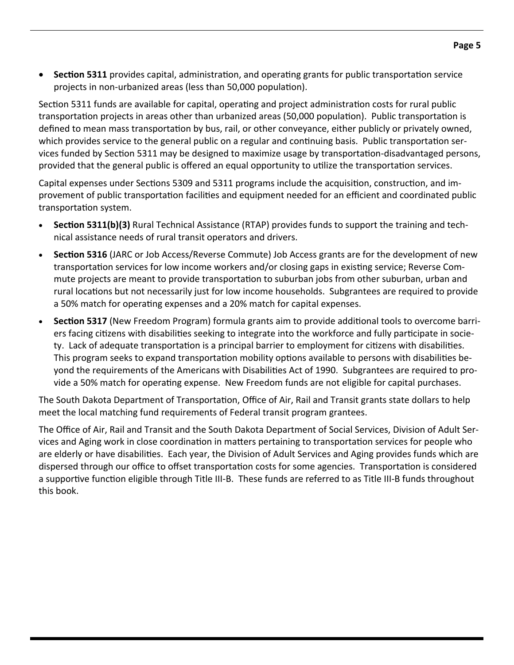**•** Section 5311 provides capital, administration, and operating grants for public transportation service projects in non-urbanized areas (less than 50,000 population).

Section 5311 funds are available for capital, operating and project administration costs for rural public transportation projects in areas other than urbanized areas (50,000 population). Public transportation is defined to mean mass transportation by bus, rail, or other conveyance, either publicly or privately owned, which provides service to the general public on a regular and continuing basis. Public transportation services funded by Section 5311 may be designed to maximize usage by transportation-disadvantaged persons, provided that the general public is offered an equal opportunity to utilize the transportation services.

Capital expenses under Sections 5309 and 5311 programs include the acquisition, construction, and improvement of public transportation facilities and equipment needed for an efficient and coordinated public transportation system.

- **Section 5311(b)(3)** Rural Technical Assistance (RTAP) provides funds to support the training and technical assistance needs of rural transit operators and drivers.
- **Section 5316** (JARC or Job Access/Reverse Commute) Job Access grants are for the development of new transportation services for low income workers and/or closing gaps in existing service; Reverse Commute projects are meant to provide transportation to suburban jobs from other suburban, urban and rural locations but not necessarily just for low income households. Subgrantees are required to provide a 50% match for operating expenses and a 20% match for capital expenses.
- **Section 5317** (New Freedom Program) formula grants aim to provide additional tools to overcome barriers facing citizens with disabilities seeking to integrate into the workforce and fully participate in society. Lack of adequate transportation is a principal barrier to employment for citizens with disabilities. This program seeks to expand transportation mobility options available to persons with disabilities beyond the requirements of the Americans with Disabilities Act of 1990. Subgrantees are required to provide a 50% match for operating expense. New Freedom funds are not eligible for capital purchases.

The South Dakota Department of Transportation, Office of Air, Rail and Transit grants state dollars to help meet the local matching fund requirements of Federal transit program grantees.

The Office of Air, Rail and Transit and the South Dakota Department of Social Services, Division of Adult Ser‐ vices and Aging work in close coordination in matters pertaining to transportation services for people who are elderly or have disabilities. Each year, the Division of Adult Services and Aging provides funds which are dispersed through our office to offset transportation costs for some agencies. Transportation is considered a supportive function eligible through Title III-B. These funds are referred to as Title III-B funds throughout this book.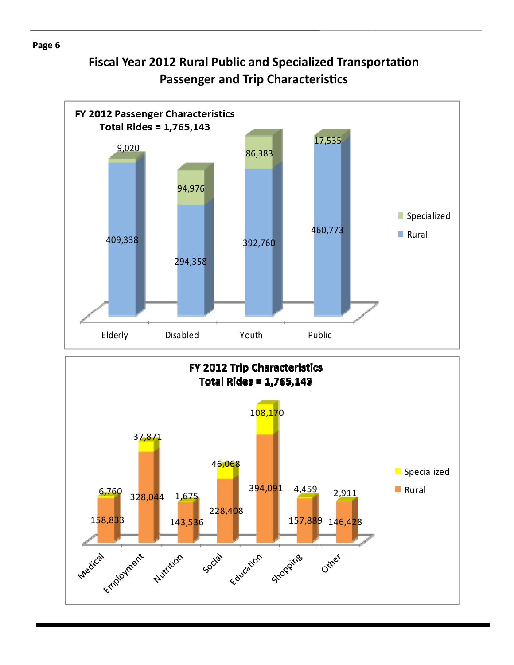# **Fiscal Year 2012 Rural Public and Specialized TransportaƟon Passenger and Trip Characteristics**



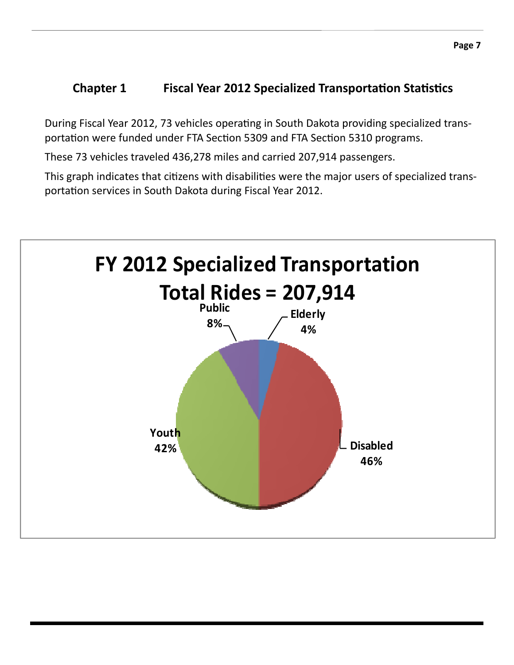## **1 Chapter 1 Fiscal Year 2012 Specialized Transportation Statistics**

During Fiscal Year 2012, 73 vehicles operating in South Dakota providing specialized transportation were funded under FTA Section 5309 and FTA Section 5310 programs.

These 73 vehicles traveled 436,278 miles and carried 207,914 passengers.

This graph indicates that citizens with disabilities were the major users of specialized transportation services in South Dakota during Fiscal Year 2012.

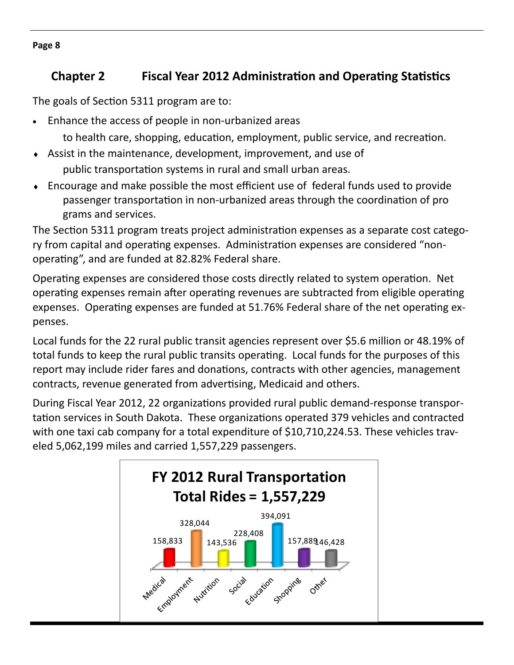# *Chapter* **2 <b> • Fiscal Year 2012 Administration and Operating Statistics**

The goals of Section 5311 program are to:

Enhance the access of people in non‐urbanized areas

to health care, shopping, education, employment, public service, and recreation.

- Assist in the maintenance, development, improvement, and use of public transportation systems in rural and small urban areas.
- Encourage and make possible the most efficient use of federal funds used to provide passenger transportation in non-urbanized areas through the coordination of pro grams and services.

The Section 5311 program treats project administration expenses as a separate cost category from capital and operating expenses. Administration expenses are considered "nonoperating", and are funded at 82.82% Federal share.

Operating expenses are considered those costs directly related to system operation. Net operating expenses remain after operating revenues are subtracted from eligible operating expenses. Operating expenses are funded at 51.76% Federal share of the net operating expenses.

Local funds for the 22 rural public transit agencies represent over \$5.6 million or 48.19% of total funds to keep the rural public transits operating. Local funds for the purposes of this report may include rider fares and donations, contracts with other agencies, management contracts, revenue generated from advertising, Medicaid and others.

During Fiscal Year 2012, 22 organizations provided rural public demand-response transportation services in South Dakota. These organizations operated 379 vehicles and contracted with one taxi cab company for a total expenditure of \$10,710,224.53. These vehicles traveled 5,062,199 miles and carried 1,557,229 passengers.



**Page 8**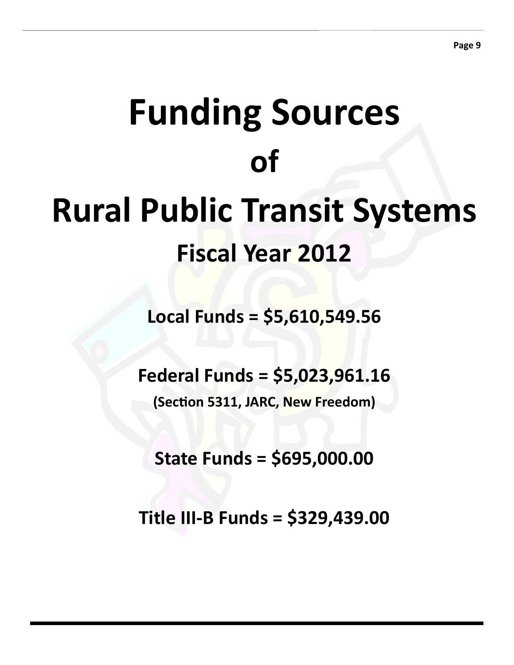# **Funding Sources of Rural Public Transit Systems Fiscal Year 2012**

**Local Funds = \$5,610,549.56**

**Federal Funds = \$5,023,961.16**

**(SecƟon 5311, JARC, New Freedom)**

**State Funds = \$695,000.00**

**Title III‐B Funds = \$329,439.00**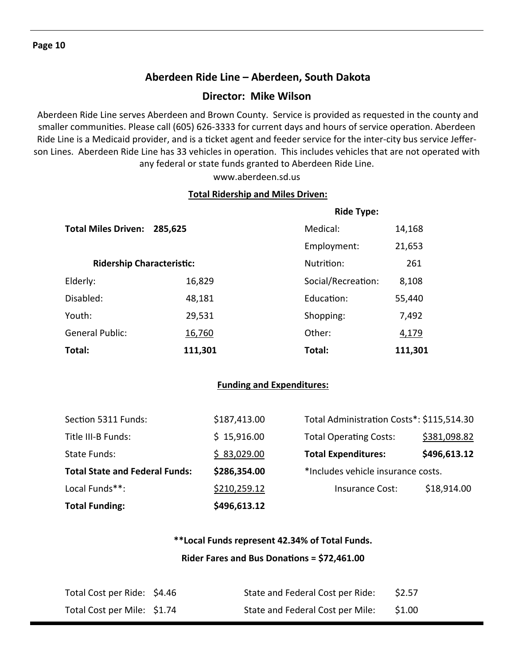## **Aberdeen Ride Line – Aberdeen, South Dakota**

#### **Director: Mike Wilson**

 Aberdeen Ride Line serves Aberdeen and Brown County. Service is provided as requested in the county and smaller communities. Please call (605) 626-3333 for current days and hours of service operation. Aberdeen Ride Line is a Medicaid provider, and is a ticket agent and feeder service for the inter-city bus service Jefferson Lines. Aberdeen Ride Line has 33 vehicles in operation. This includes vehicles that are not operated with any federal or state funds granted to Aberdeen Ride Line.

www.aberdeen.sd.us

#### **Total Ridership and Miles Driven:**

|                                  |         | <b>Ride Type:</b>  |         |
|----------------------------------|---------|--------------------|---------|
| <b>Total Miles Driven:</b>       | 285,625 | Medical:           | 14,168  |
|                                  |         | Employment:        | 21,653  |
| <b>Ridership Characteristic:</b> |         | Nutrition:         | 261     |
| Elderly:                         | 16,829  | Social/Recreation: | 8,108   |
| Disabled:                        | 48,181  | Education:         | 55,440  |
| Youth:                           | 29,531  | Shopping:          | 7,492   |
| <b>General Public:</b>           | 16,760  | Other:             | 4,179   |
| Total:                           | 111,301 | Total:             | 111,301 |

#### **Funding and Expenditures:**

| <b>Total Funding:</b>                 | \$496,613.12 |                                           |              |
|---------------------------------------|--------------|-------------------------------------------|--------------|
| Local Funds**:                        | \$210,259.12 | Insurance Cost:                           | \$18,914.00  |
| <b>Total State and Federal Funds:</b> | \$286,354.00 | *Includes vehicle insurance costs.        |              |
| State Funds:                          | \$83,029.00  | <b>Total Expenditures:</b>                | \$496,613.12 |
| Title III-B Funds:                    | \$15,916.00  | <b>Total Operating Costs:</b>             | \$381,098.82 |
| Section 5311 Funds:                   | \$187,413.00 | Total Administration Costs*: \$115,514.30 |              |

## **\*\*Local Funds represent 42.34% of Total Funds. Rider Fares and Bus DonaƟons = \$72,461.00**

| Total Cost per Ride: \$4.46 | State and Federal Cost per Ride: | \$2.57 |
|-----------------------------|----------------------------------|--------|
| Total Cost per Mile: \$1.74 | State and Federal Cost per Mile: | \$1.00 |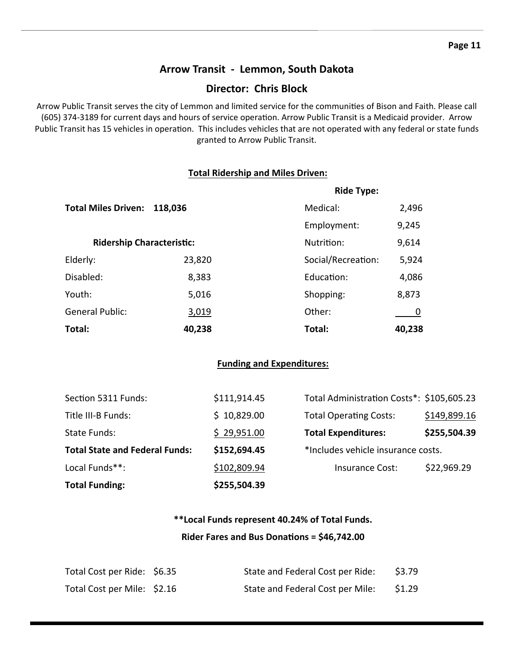## **Arrow Transit ‐ Lemmon, South Dakota**

## **Director: Chris Block**

Arrow Public Transit serves the city of Lemmon and limited service for the communities of Bison and Faith. Please call (605) 374-3189 for current days and hours of service operation. Arrow Public Transit is a Medicaid provider. Arrow Public Transit has 15 vehicles in operation. This includes vehicles that are not operated with any federal or state funds granted to Arrow Public Transit.

#### **Total Ridership and Miles Driven:**

|                            |                                  | <b>Ride Type:</b>  |        |
|----------------------------|----------------------------------|--------------------|--------|
| <b>Total Miles Driven:</b> | 118,036                          | Medical:           | 2,496  |
|                            |                                  | Employment:        | 9,245  |
|                            | <b>Ridership Characteristic:</b> |                    | 9,614  |
| Elderly:                   | 23,820                           | Social/Recreation: | 5,924  |
| Disabled:                  | 8,383                            | Education:         | 4,086  |
| Youth:                     | 5,016                            | Shopping:          | 8,873  |
| <b>General Public:</b>     | 3,019                            | Other:             |        |
| Total:                     | 40,238                           | Total:             | 40,238 |

#### **Funding and Expenditures:**

| <b>Total Funding:</b>                 | \$255,504.39 |                                           |              |
|---------------------------------------|--------------|-------------------------------------------|--------------|
| Local Funds**:                        | \$102,809.94 | Insurance Cost:                           | \$22,969.29  |
| <b>Total State and Federal Funds:</b> | \$152,694.45 | *Includes vehicle insurance costs.        |              |
| State Funds:                          | \$29,951.00  | <b>Total Expenditures:</b>                | \$255,504.39 |
| Title III-B Funds:                    | \$10,829.00  | <b>Total Operating Costs:</b>             | \$149,899.16 |
| Section 5311 Funds:                   | \$111,914.45 | Total Administration Costs*: \$105,605.23 |              |

## **\*\*Local Funds represent 40.24% of Total Funds. Rider Fares and Bus DonaƟons = \$46,742.00**

| Total Cost per Ride: \$6.35 | State and Federal Cost per Ride: | \$3.79 |
|-----------------------------|----------------------------------|--------|
| Total Cost per Mile: \$2.16 | State and Federal Cost per Mile: | \$1.29 |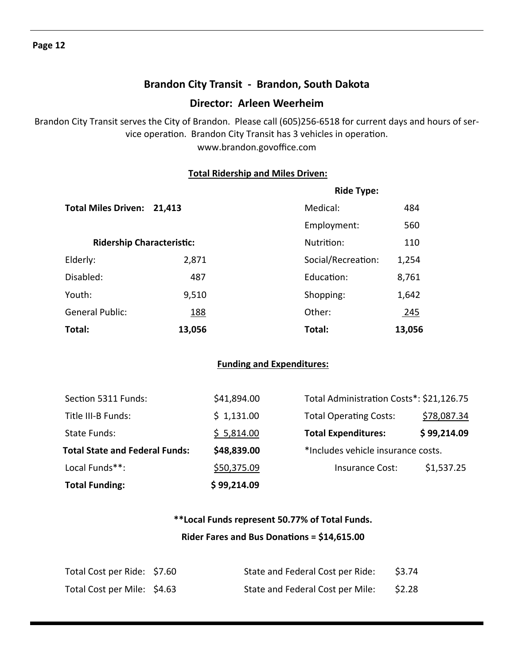## **Brandon City Transit ‐ Brandon, South Dakota**

#### **Director: Arleen Weerheim**

Brandon City Transit serves the City of Brandon. Please call (605)256‐6518 for current days and hours of ser‐ vice operation. Brandon City Transit has 3 vehicles in operation. www.brandon.govoffice.com

#### **Total Ridership and Miles Driven:**

|                            |                                  | <b>Ride Type:</b>  |            |  |
|----------------------------|----------------------------------|--------------------|------------|--|
| <b>Total Miles Driven:</b> | 21,413                           | Medical:           | 484        |  |
|                            |                                  | Employment:        | 560        |  |
|                            | <b>Ridership Characteristic:</b> | Nutrition:         | 110        |  |
| Elderly:                   | 2,871                            | Social/Recreation: | 1,254      |  |
| Disabled:                  | 487                              | Education:         | 8,761      |  |
| Youth:                     | 9,510                            | Shopping:          | 1,642      |  |
| <b>General Public:</b>     | <u>188</u>                       | Other:             | <u>245</u> |  |
| Total:                     | 13,056                           | Total:             | 13,056     |  |

#### **Funding and Expenditures:**

| <b>Total Funding:</b>                 | \$99,214.09 |                                          |             |
|---------------------------------------|-------------|------------------------------------------|-------------|
| Local Funds**:                        | \$50,375.09 | Insurance Cost:                          | \$1,537.25  |
| <b>Total State and Federal Funds:</b> | \$48,839.00 | *Includes vehicle insurance costs.       |             |
| State Funds:                          | \$5,814.00  | <b>Total Expenditures:</b>               | \$99,214.09 |
| Title III-B Funds:                    | \$1,131.00  | <b>Total Operating Costs:</b>            | \$78,087.34 |
| Section 5311 Funds:                   | \$41,894.00 | Total Administration Costs*: \$21,126.75 |             |

## **\*\*Local Funds represent 50.77% of Total Funds. Rider Fares and Bus DonaƟons = \$14,615.00**

| Total Cost per Ride: \$7.60 | State and Federal Cost per Ride: | \$3.74 |
|-----------------------------|----------------------------------|--------|
| Total Cost per Mile: \$4.63 | State and Federal Cost per Mile: | \$2.28 |

#### **Page 12**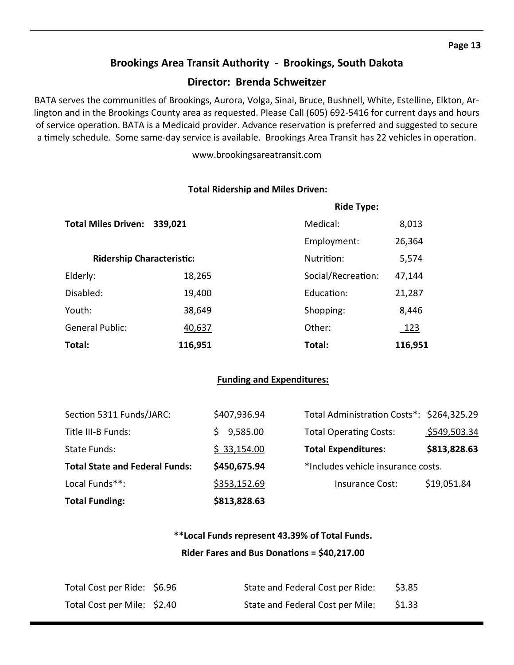#### **Brookings Area Transit Authority ‐ Brookings, South Dakota**

#### **Director: Brenda Schweitzer**

BATA serves the communities of Brookings, Aurora, Volga, Sinai, Bruce, Bushnell, White, Estelline, Elkton, Arlington and in the Brookings County area as requested. Please Call (605) 692‐5416 for current days and hours of service operation. BATA is a Medicaid provider. Advance reservation is preferred and suggested to secure a timely schedule. Some same-day service is available. Brookings Area Transit has 22 vehicles in operation.

www.brookingsareatransit.com

#### **Total Ridership and Miles Driven:**

|                                  |         | <b>Ride Type:</b>  |             |
|----------------------------------|---------|--------------------|-------------|
| <b>Total Miles Driven:</b>       | 339,021 | Medical:           | 8,013       |
|                                  |         | Employment:        | 26,364      |
| <b>Ridership Characteristic:</b> |         | Nutrition:         | 5,574       |
| Elderly:                         | 18,265  | Social/Recreation: | 47,144      |
| Disabled:                        | 19,400  | Education:         | 21,287      |
| Youth:                           | 38,649  | Shopping:          | 8,446       |
| <b>General Public:</b>           | 40,637  | Other:             | <u> 123</u> |
| Total:                           | 116,951 | Total:             | 116,951     |

#### **Funding and Expenditures:**

| <b>Total Funding:</b>                 | \$813,828.63 |                                           |              |
|---------------------------------------|--------------|-------------------------------------------|--------------|
| Local Funds**:                        | \$353,152.69 | Insurance Cost:                           | \$19,051.84  |
| <b>Total State and Federal Funds:</b> | \$450,675.94 | *Includes vehicle insurance costs.        |              |
| State Funds:                          | \$33,154.00  | <b>Total Expenditures:</b>                | \$813,828.63 |
| Title III-B Funds:                    | 9,585.00     | <b>Total Operating Costs:</b>             | \$549,503.34 |
| Section 5311 Funds/JARC:              | \$407,936.94 | Total Administration Costs*: \$264,325.29 |              |

## **\*\*Local Funds represent 43.39% of Total Funds. Rider Fares and Bus DonaƟons = \$40,217.00**

| Total Cost per Ride: \$6.96 | State and Federal Cost per Ride: | \$3.85 |
|-----------------------------|----------------------------------|--------|
| Total Cost per Mile: \$2.40 | State and Federal Cost per Mile: | \$1.33 |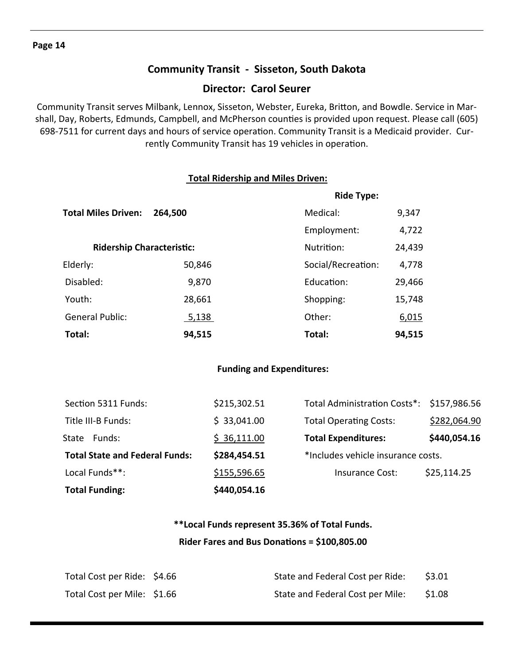## **Community Transit ‐ Sisseton, South Dakota**

#### **Director: Carol Seurer**

Community Transit serves Milbank, Lennox, Sisseton, Webster, Eureka, Britton, and Bowdle. Service in Marshall, Day, Roberts, Edmunds, Campbell, and McPherson counties is provided upon request. Please call (605) 698-7511 for current days and hours of service operation. Community Transit is a Medicaid provider. Currently Community Transit has 19 vehicles in operation.

#### **Total Ridership and Miles Driven:**

|                            |                                  | <b>Ride Type:</b>  |        |
|----------------------------|----------------------------------|--------------------|--------|
| <b>Total Miles Driven:</b> | 264,500                          | Medical:           | 9,347  |
|                            |                                  | Employment:        | 4,722  |
|                            | <b>Ridership Characteristic:</b> | Nutrition:         | 24,439 |
| Elderly:                   | 50,846                           | Social/Recreation: | 4,778  |
| Disabled:                  | 9,870                            | Education:         | 29,466 |
| Youth:                     | 28,661                           | Shopping:          | 15,748 |
| <b>General Public:</b>     | <u>5,138</u>                     | Other:             | 6,015  |
| Total:                     | 94,515                           | Total:             | 94,515 |

#### **Funding and Expenditures:**

| <b>Total Funding:</b>                 | \$440,054.16 |                                           |              |
|---------------------------------------|--------------|-------------------------------------------|--------------|
| Local Funds**:                        | \$155,596.65 | Insurance Cost:                           | \$25,114.25  |
| <b>Total State and Federal Funds:</b> | \$284,454.51 | *Includes vehicle insurance costs.        |              |
| Funds:<br>State                       | \$36,111.00  | <b>Total Expenditures:</b>                | \$440,054.16 |
| Title III-B Funds:                    | \$33,041.00  | <b>Total Operating Costs:</b>             | \$282,064.90 |
| Section 5311 Funds:                   | \$215,302.51 | Total Administration Costs*: \$157,986.56 |              |

# **\*\*Local Funds represent 35.36% of Total Funds. Rider Fares and Bus DonaƟons = \$100,805.00**

| Total Cost per Ride: \$4.66 | State and Federal Cost per Ride: | \$3.01 |
|-----------------------------|----------------------------------|--------|
| Total Cost per Mile: \$1.66 | State and Federal Cost per Mile: | \$1.08 |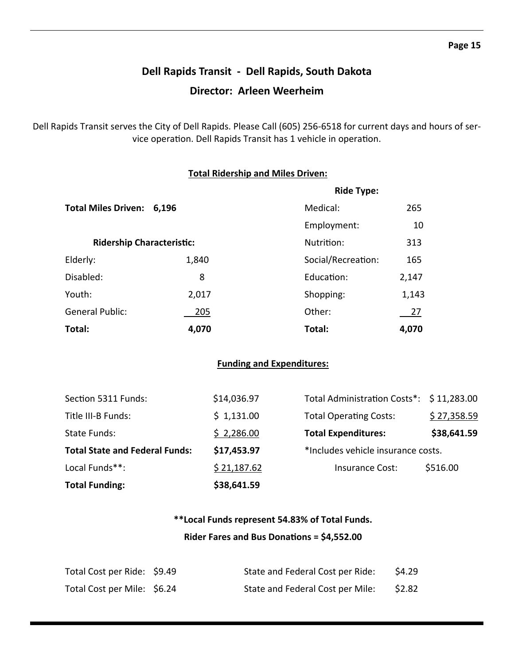# **Dell Rapids Transit ‐ Dell Rapids, South Dakota Director: Arleen Weerheim**

Dell Rapids Transit serves the City of Dell Rapids. Please Call (605) 256‐6518 for current days and hours of ser‐ vice operation. Dell Rapids Transit has 1 vehicle in operation.

#### **Total Ridership and Miles Driven:**

|                                  | <b>Ride Type:</b> |                    |           |
|----------------------------------|-------------------|--------------------|-----------|
| <b>Total Miles Driven:</b>       | 6,196             | Medical:           | 265       |
|                                  |                   | Employment:        | 10        |
| <b>Ridership Characteristic:</b> |                   | Nutrition:         | 313       |
| Elderly:                         | 1,840             | Social/Recreation: | 165       |
| Disabled:                        | 8                 | Education:         | 2,147     |
| Youth:                           | 2,017             | Shopping:          | 1,143     |
| <b>General Public:</b>           | 205               | Other:             | <u>27</u> |
| Total:                           | 4,070             | Total:             | 4,070     |

#### **Funding and Expenditures:**

| <b>Total Funding:</b>                 | \$38,641.59 |                                          |             |
|---------------------------------------|-------------|------------------------------------------|-------------|
| Local Funds**:                        | \$21,187.62 | <b>Insurance Cost:</b>                   | \$516.00    |
| <b>Total State and Federal Funds:</b> | \$17,453.97 | *Includes vehicle insurance costs.       |             |
| State Funds:                          | \$2,286.00  | <b>Total Expenditures:</b>               | \$38,641.59 |
| Title III-B Funds:                    | \$1,131.00  | <b>Total Operating Costs:</b>            | \$27,358.59 |
| Section 5311 Funds:                   | \$14,036.97 | Total Administration Costs*: \$11,283.00 |             |

## **\*\*Local Funds represent 54.83% of Total Funds. Rider Fares and Bus DonaƟons = \$4,552.00**

| Total Cost per Ride: \$9.49 | State and Federal Cost per Ride: | \$4.29 |
|-----------------------------|----------------------------------|--------|
| Total Cost per Mile: \$6.24 | State and Federal Cost per Mile: | \$2.82 |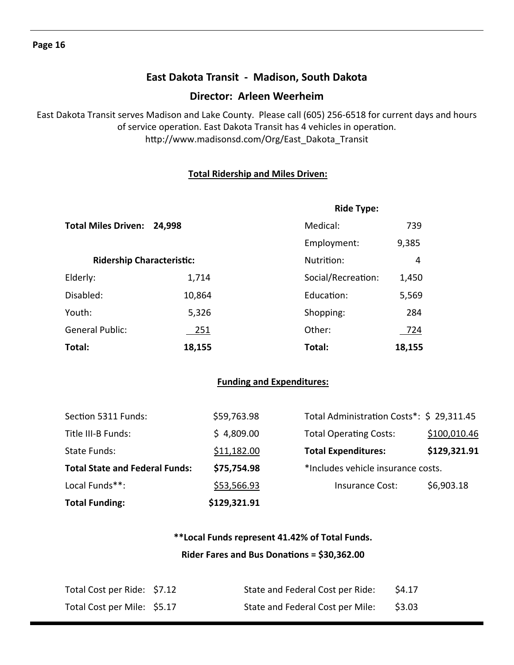## **East Dakota Transit ‐ Madison, South Dakota**

#### **Director: Arleen Weerheim**

East Dakota Transit serves Madison and Lake County. Please call (605) 256‐6518 for current days and hours of service operation. East Dakota Transit has 4 vehicles in operation. http://www.madisonsd.com/Org/East\_Dakota\_Transit

#### **Total Ridership and Miles Driven:**

|                                  |            | <b>Ride Type:</b>  |        |
|----------------------------------|------------|--------------------|--------|
| <b>Total Miles Driven:</b>       | 24,998     | Medical:           | 739    |
|                                  |            | Employment:        | 9,385  |
| <b>Ridership Characteristic:</b> |            | Nutrition:         | 4      |
| Elderly:                         | 1,714      | Social/Recreation: | 1,450  |
| Disabled:                        | 10,864     | Education:         | 5,569  |
| Youth:                           | 5,326      | Shopping:          | 284    |
| <b>General Public:</b>           | <u>251</u> | Other:             | 724    |
| Total:                           | 18,155     | Total:             | 18,155 |

#### **Funding and Expenditures:**

| <b>Total Funding:</b>                 | \$129,321.91 |                                           |              |
|---------------------------------------|--------------|-------------------------------------------|--------------|
| Local Funds**:                        | \$53,566.93  | Insurance Cost:                           | \$6,903.18   |
| <b>Total State and Federal Funds:</b> | \$75,754.98  | *Includes vehicle insurance costs.        |              |
| State Funds:                          | \$11,182.00  | <b>Total Expenditures:</b>                | \$129,321.91 |
| Title III-B Funds:                    | \$4,809.00   | <b>Total Operating Costs:</b>             | \$100,010.46 |
| Section 5311 Funds:                   | \$59,763.98  | Total Administration Costs*: \$ 29,311.45 |              |

## **\*\*Local Funds represent 41.42% of Total Funds. Rider Fares and Bus DonaƟons = \$30,362.00**

| Total Cost per Ride: \$7.12 | State and Federal Cost per Ride: | 54.17  |
|-----------------------------|----------------------------------|--------|
| Total Cost per Mile: \$5.17 | State and Federal Cost per Mile: | \$3.03 |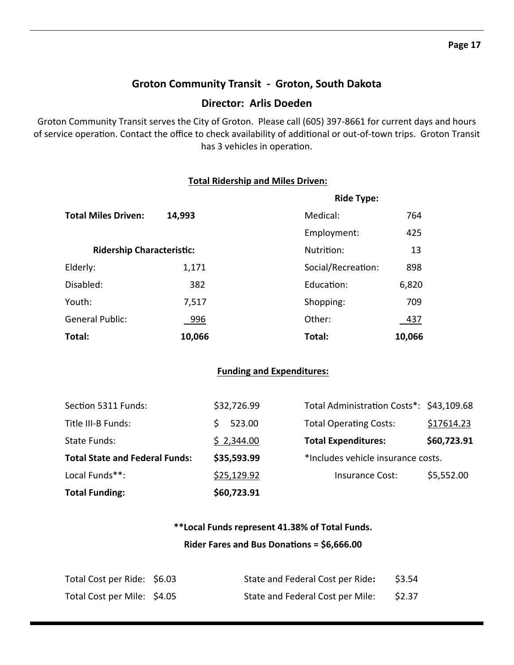#### **Groton Community Transit ‐ Groton, South Dakota**

#### **Director: Arlis Doeden**

Groton Community Transit serves the City of Groton. Please call (605) 397‐8661 for current days and hours of service operation. Contact the office to check availability of additional or out-of-town trips. Groton Transit has 3 vehicles in operation.

#### **Total Ridership and Miles Driven:**

|                                  |        | <b>Ride Type:</b>  |        |
|----------------------------------|--------|--------------------|--------|
| <b>Total Miles Driven:</b>       | 14,993 | Medical:           | 764    |
|                                  |        | Employment:        | 425    |
| <b>Ridership Characteristic:</b> |        | Nutrition:         | 13     |
| Elderly:                         | 1,171  | Social/Recreation: | 898    |
| Disabled:                        | 382    | Education:         | 6,820  |
| Youth:                           | 7,517  | Shopping:          | 709    |
| <b>General Public:</b>           | 996    | Other:             | 437    |
| Total:                           | 10,066 | Total:             | 10,066 |

#### **Funding and Expenditures:**

| <b>Total Funding:</b>                 | \$60,723.91 |                                          |             |
|---------------------------------------|-------------|------------------------------------------|-------------|
| Local Funds**:                        | \$25,129.92 | Insurance Cost:                          | \$5,552.00  |
| <b>Total State and Federal Funds:</b> | \$35,593.99 | *Includes vehicle insurance costs.       |             |
| State Funds:                          | \$2,344.00  | <b>Total Expenditures:</b>               | \$60,723.91 |
| Title III-B Funds:                    | 523.00      | <b>Total Operating Costs:</b>            | \$17614.23  |
| Section 5311 Funds:                   | \$32,726.99 | Total Administration Costs*: \$43,109.68 |             |

## **\*\*Local Funds represent 41.38% of Total Funds. Rider Fares and Bus DonaƟons = \$6,666.00**

| Total Cost per Ride: \$6.03 | State and Federal Cost per Ride: | \$3.54 |
|-----------------------------|----------------------------------|--------|
| Total Cost per Mile: \$4.05 | State and Federal Cost per Mile: | \$2.37 |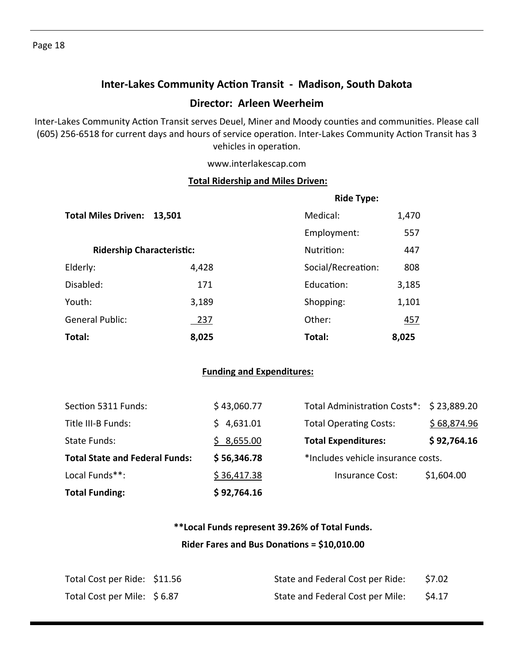# **Inter‐Lakes Community AcƟon Transit ‐ Madison, South Dakota Director: Arleen Weerheim**

Inter-Lakes Community Action Transit serves Deuel, Miner and Moody counties and communities. Please call (605) 256-6518 for current days and hours of service operation. Inter-Lakes Community Action Transit has 3 vehicles in operation.

www.interlakescap.com

#### **Total Ridership and Miles Driven:**

|                                  |        | <b>Ride Type:</b>  |            |
|----------------------------------|--------|--------------------|------------|
| <b>Total Miles Driven:</b>       | 13,501 | Medical:           | 1,470      |
|                                  |        | Employment:        | 557        |
| <b>Ridership Characteristic:</b> |        | Nutrition:         | 447        |
| Elderly:                         | 4,428  | Social/Recreation: | 808        |
| Disabled:                        | 171    | Education:         | 3,185      |
| Youth:                           | 3,189  | Shopping:          | 1,101      |
| <b>General Public:</b>           | 237    | Other:             | <u>457</u> |
| Total:                           | 8,025  | Total:             | 8,025      |

#### **Funding and Expenditures:**

| <b>Total Funding:</b>                 | \$92,764.16 |                                          |             |
|---------------------------------------|-------------|------------------------------------------|-------------|
| Local Funds**:                        | \$36,417.38 | Insurance Cost:                          | \$1,604.00  |
| <b>Total State and Federal Funds:</b> | \$56,346.78 | *Includes vehicle insurance costs.       |             |
| State Funds:                          | \$8,655.00  | <b>Total Expenditures:</b>               | \$92,764.16 |
| Title III-B Funds:                    | 4,631.01    | <b>Total Operating Costs:</b>            | \$68,874.96 |
| Section 5311 Funds:                   | \$43,060.77 | Total Administration Costs*: \$23,889.20 |             |

# **\*\*Local Funds represent 39.26% of Total Funds. Rider Fares and Bus DonaƟons = \$10,010.00**

| Total Cost per Ride: \$11.56 | State and Federal Cost per Ride: | \$7.02 |
|------------------------------|----------------------------------|--------|
| Total Cost per Mile: \$6.87  | State and Federal Cost per Mile: | \$4.17 |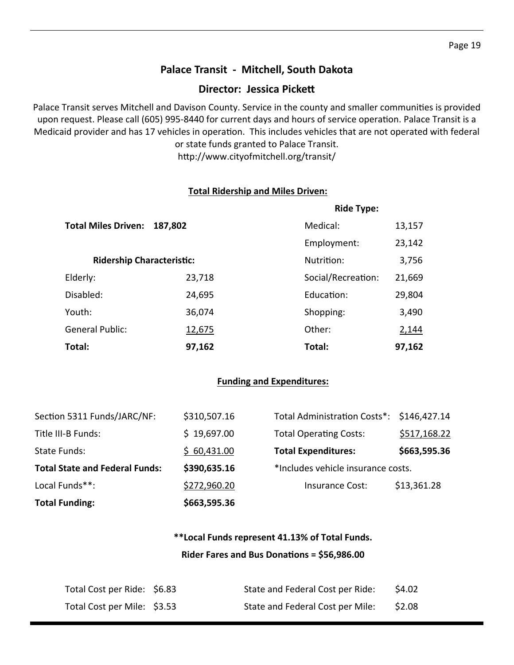## **Palace Transit ‐ Mitchell, South Dakota**

#### **Director: Jessica Pickett**

Palace Transit serves Mitchell and Davison County. Service in the county and smaller communities is provided upon request. Please call (605) 995-8440 for current days and hours of service operation. Palace Transit is a Medicaid provider and has 17 vehicles in operation. This includes vehicles that are not operated with federal or state funds granted to Palace Transit.

http://www.cityofmitchell.org/transit/

#### **Total Ridership and Miles Driven:**

|                                  |               | <b>Ride Type:</b>  |        |
|----------------------------------|---------------|--------------------|--------|
| <b>Total Miles Driven:</b>       | 187,802       | Medical:           | 13,157 |
|                                  |               | Employment:        | 23,142 |
| <b>Ridership Characteristic:</b> |               | Nutrition:         | 3,756  |
| Elderly:                         | 23,718        | Social/Recreation: | 21,669 |
| Disabled:                        | 24,695        | Education:         | 29,804 |
| Youth:                           | 36,074        | Shopping:          | 3,490  |
| <b>General Public:</b>           | <u>12,675</u> | Other:             | 2,144  |
| Total:                           | 97,162        | Total:             | 97,162 |

#### **Funding and Expenditures:**

| <b>Total Funding:</b>                 | \$663,595.36 |                                           |              |
|---------------------------------------|--------------|-------------------------------------------|--------------|
| Local Funds**:                        | \$272,960.20 | Insurance Cost:                           | \$13,361.28  |
| <b>Total State and Federal Funds:</b> | \$390,635.16 | *Includes vehicle insurance costs.        |              |
| State Funds:                          | \$60,431.00  | <b>Total Expenditures:</b>                | \$663,595.36 |
| Title III-B Funds:                    | \$19,697.00  | <b>Total Operating Costs:</b>             | \$517,168.22 |
| Section 5311 Funds/JARC/NF:           | \$310,507.16 | Total Administration Costs*: \$146,427.14 |              |

# **\*\*Local Funds represent 41.13% of Total Funds.**

#### **Rider Fares and Bus DonaƟons = \$56,986.00**

| Total Cost per Ride: \$6.83 | State and Federal Cost per Ride: | \$4.02 |
|-----------------------------|----------------------------------|--------|
| Total Cost per Mile: \$3.53 | State and Federal Cost per Mile: | \$2.08 |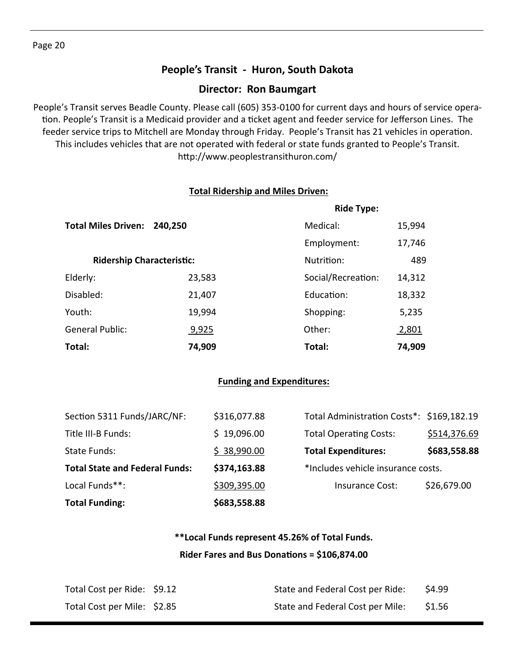## **People's Transit ‐ Huron, South Dakota**

#### **Director: Ron Baumgart**

People's Transit serves Beadle County. Please call (605) 353‐0100 for current days and hours of service opera‐ tion. People's Transit is a Medicaid provider and a ticket agent and feeder service for Jefferson Lines. The feeder service trips to Mitchell are Monday through Friday. People's Transit has 21 vehicles in operation. This includes vehicles that are not operated with federal or state funds granted to People's Transit. http://www.peoplestransithuron.com/

#### **Total Ridership and Miles Driven:**

|                                       |        | <b>Ride Type:</b>  |        |
|---------------------------------------|--------|--------------------|--------|
| <b>Total Miles Driven:</b><br>240,250 |        | Medical:           | 15,994 |
|                                       |        | Employment:        | 17,746 |
| <b>Ridership Characteristic:</b>      |        | Nutrition:         | 489    |
| Elderly:                              | 23,583 | Social/Recreation: | 14,312 |
| Disabled:                             | 21,407 | Education:         | 18,332 |
| Youth:                                | 19,994 | Shopping:          | 5,235  |
| <b>General Public:</b>                | 9,925  | Other:             | 2,801  |
| Total:                                | 74,909 | Total:             | 74,909 |

#### **Funding and Expenditures:**

| <b>Total Funding:</b>                 | \$683,558.88 |                                           |              |
|---------------------------------------|--------------|-------------------------------------------|--------------|
| Local Funds**:                        | \$309,395.00 | Insurance Cost:                           | \$26,679.00  |
| <b>Total State and Federal Funds:</b> | \$374,163.88 | *Includes vehicle insurance costs.        |              |
| State Funds:                          | \$38,990.00  | <b>Total Expenditures:</b>                | \$683,558.88 |
| Title III-B Funds:                    | \$19,096.00  | <b>Total Operating Costs:</b>             | \$514,376.69 |
| Section 5311 Funds/JARC/NF:           | \$316,077.88 | Total Administration Costs*: \$169,182.19 |              |

## **\*\*Local Funds represent 45.26% of Total Funds. Rider Fares and Bus DonaƟons = \$106,874.00**

| Total Cost per Ride: \$9.12 | State and Federal Cost per Ride: | \$4.99 |
|-----------------------------|----------------------------------|--------|
| Total Cost per Mile: \$2.85 | State and Federal Cost per Mile: | \$1.56 |

Page 20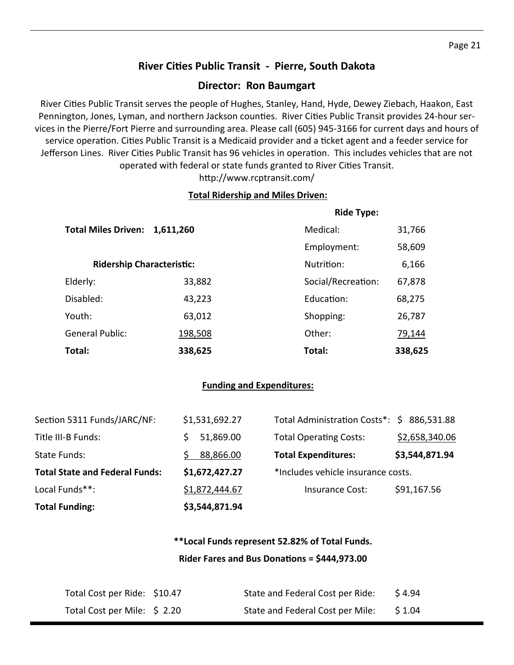## **River CiƟes Public Transit ‐ Pierre, South Dakota**

#### **Director: Ron Baumgart**

River Cities Public Transit serves the people of Hughes, Stanley, Hand, Hyde, Dewey Ziebach, Haakon, East Pennington, Jones, Lyman, and northern Jackson counties. River Cities Public Transit provides 24-hour services in the Pierre/Fort Pierre and surrounding area. Please call (605) 945‐3166 for current days and hours of service operation. Cities Public Transit is a Medicaid provider and a ticket agent and a feeder service for Jefferson Lines. River Cities Public Transit has 96 vehicles in operation. This includes vehicles that are not operated with federal or state funds granted to River Cities Transit.

http://www.rcptransit.com/

#### **Total Ridership and Miles Driven:**

|                                  |           | <b>Ride Type:</b>  |         |
|----------------------------------|-----------|--------------------|---------|
| <b>Total Miles Driven:</b>       | 1,611,260 | Medical:           | 31,766  |
|                                  |           | Employment:        | 58,609  |
| <b>Ridership Characteristic:</b> |           | Nutrition:         | 6,166   |
| Elderly:                         | 33,882    | Social/Recreation: | 67,878  |
| Disabled:                        | 43,223    | Education:         | 68,275  |
| Youth:                           | 63,012    | Shopping:          | 26,787  |
| <b>General Public:</b>           | 198,508   | Other:             | 79,144  |
| Total:                           | 338,625   | Total:             | 338,625 |

#### **Funding and Expenditures:**

| <b>Total Funding:</b>                 | \$3,544,871.94 |                                            |                |
|---------------------------------------|----------------|--------------------------------------------|----------------|
| Local Funds**:                        | \$1,872,444.67 | Insurance Cost:                            | \$91,167.56    |
| <b>Total State and Federal Funds:</b> | \$1,672,427.27 | *Includes vehicle insurance costs.         |                |
| State Funds:                          | 88,866.00      | <b>Total Expenditures:</b>                 | \$3,544,871.94 |
| Title III-B Funds:                    | 51,869.00      | <b>Total Operating Costs:</b>              | \$2,658,340.06 |
| Section 5311 Funds/JARC/NF:           | \$1,531,692.27 | Total Administration Costs*: \$ 886,531.88 |                |

## **\*\*Local Funds represent 52.82% of Total Funds. Rider Fares and Bus DonaƟons = \$444,973.00**

| Total Cost per Ride: \$10.47 | State and Federal Cost per Ride: | \$4.94  |
|------------------------------|----------------------------------|---------|
| Total Cost per Mile: \$2.20  | State and Federal Cost per Mile: | \$ 1.04 |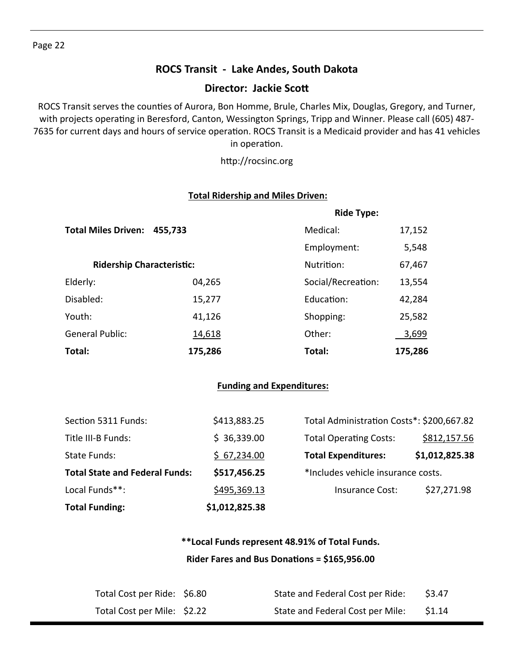## **ROCS Transit ‐ Lake Andes, South Dakota**

### **Director: Jackie ScoƩ**

ROCS Transit serves the counties of Aurora, Bon Homme, Brule, Charles Mix, Douglas, Gregory, and Turner, with projects operating in Beresford, Canton, Wessington Springs, Tripp and Winner. Please call (605) 487-7635 for current days and hours of service operation. ROCS Transit is a Medicaid provider and has 41 vehicles in operation.

http://rocsinc.org

#### **Total Ridership and Miles Driven:**

|                                  |         | <b>Ride Type:</b>  |         |
|----------------------------------|---------|--------------------|---------|
| <b>Total Miles Driven:</b>       | 455,733 | Medical:           | 17,152  |
|                                  |         | Employment:        | 5,548   |
| <b>Ridership Characteristic:</b> |         | Nutrition:         | 67,467  |
| Elderly:                         | 04,265  | Social/Recreation: | 13,554  |
| Disabled:                        | 15,277  | Education:         | 42,284  |
| Youth:                           | 41,126  | Shopping:          | 25,582  |
| <b>General Public:</b>           | 14,618  | Other:             | 3,699   |
| Total:                           | 175,286 | Total:             | 175,286 |

#### **Funding and Expenditures:**

| <b>Total Funding:</b>                 | \$1,012,825.38 |                                           |                |
|---------------------------------------|----------------|-------------------------------------------|----------------|
| Local Funds**:                        | \$495,369.13   | Insurance Cost:                           | \$27,271.98    |
| <b>Total State and Federal Funds:</b> | \$517,456.25   | *Includes vehicle insurance costs.        |                |
| <b>State Funds:</b>                   | \$67,234.00    | <b>Total Expenditures:</b>                | \$1,012,825.38 |
| Title III-B Funds:                    | \$36,339.00    | <b>Total Operating Costs:</b>             | \$812,157.56   |
| Section 5311 Funds:                   | \$413,883.25   | Total Administration Costs*: \$200,667.82 |                |

## **\*\*Local Funds represent 48.91% of Total Funds. Rider Fares and Bus DonaƟons = \$165,956.00**

| Total Cost per Ride: \$6.80 | State and Federal Cost per Ride: | \$3.47 |
|-----------------------------|----------------------------------|--------|
| Total Cost per Mile: \$2.22 | State and Federal Cost per Mile: | \$1.14 |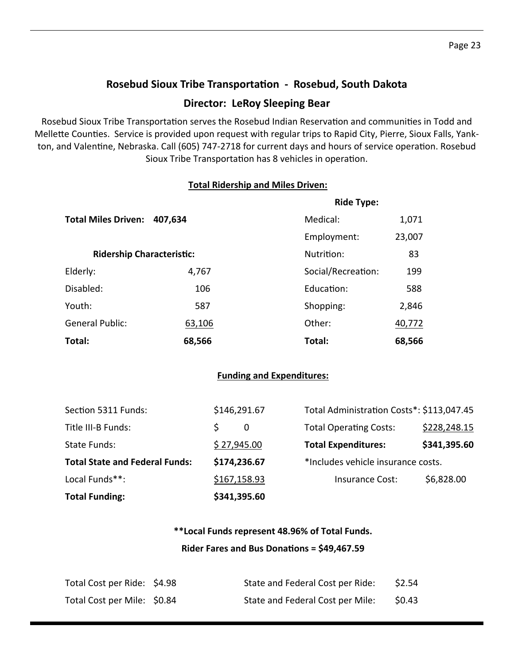# **Rosebud Sioux Tribe TransportaƟon ‐ Rosebud, South Dakota Director: LeRoy Sleeping Bear**

Rosebud Sioux Tribe Transportation serves the Rosebud Indian Reservation and communities in Todd and Mellette Counties. Service is provided upon request with regular trips to Rapid City, Pierre, Sioux Falls, Yankton, and Valentine, Nebraska. Call (605) 747-2718 for current days and hours of service operation. Rosebud Sioux Tribe Transportation has 8 vehicles in operation.

#### **Total Ridership and Miles Driven:**

|                            |                                  | <b>Ride Type:</b>  |        |
|----------------------------|----------------------------------|--------------------|--------|
| <b>Total Miles Driven:</b> | 407,634                          | Medical:           | 1,071  |
|                            |                                  | Employment:        | 23,007 |
|                            | <b>Ridership Characteristic:</b> |                    | 83     |
| Elderly:                   | 4,767                            | Social/Recreation: | 199    |
| Disabled:                  | 106                              | Education:         | 588    |
| Youth:                     | 587                              | Shopping:          | 2,846  |
| <b>General Public:</b>     | 63,106                           | Other:             | 40,772 |
| Total:                     | 68,566                           | Total:             | 68,566 |

#### **Funding and Expenditures:**

| <b>Total Funding:</b>                 | \$341,395.60 |                                           |              |
|---------------------------------------|--------------|-------------------------------------------|--------------|
| Local Funds**:                        | \$167,158.93 | Insurance Cost:                           | \$6,828.00   |
| <b>Total State and Federal Funds:</b> | \$174,236.67 | *Includes vehicle insurance costs.        |              |
| State Funds:                          | \$27,945.00  | <b>Total Expenditures:</b>                | \$341,395.60 |
| Title III-B Funds:                    | 0            | <b>Total Operating Costs:</b>             | \$228,248.15 |
| Section 5311 Funds:                   | \$146,291.67 | Total Administration Costs*: \$113,047.45 |              |

## **\*\*Local Funds represent 48.96% of Total Funds. Rider Fares and Bus DonaƟons = \$49,467.59**

| Total Cost per Ride: \$4.98 | State and Federal Cost per Ride: | \$2.54 |
|-----------------------------|----------------------------------|--------|
| Total Cost per Mile: \$0.84 | State and Federal Cost per Mile: | \$0.43 |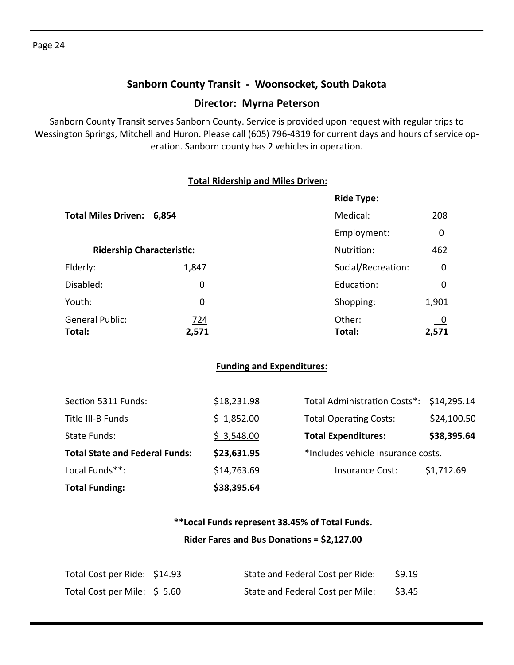## **Sanborn County Transit ‐ Woonsocket, South Dakota**

#### **Director: Myrna Peterson**

Sanborn County Transit serves Sanborn County. Service is provided upon request with regular trips to Wessington Springs, Mitchell and Huron. Please call (605) 796‐4319 for current days and hours of service op‐ eration. Sanborn county has 2 vehicles in operation.

#### **Total Ridership and Miles Driven:**

|                                  |       | <b>Ride Type:</b>  |          |
|----------------------------------|-------|--------------------|----------|
| Total Miles Driven: 6,854        |       | Medical:           | 208      |
|                                  |       | Employment:        | $\Omega$ |
| <b>Ridership Characteristic:</b> |       | Nutrition:         | 462      |
| Elderly:                         | 1,847 | Social/Recreation: | 0        |
| Disabled:                        | 0     | Education:         | 0        |
| Youth:                           | 0     | Shopping:          | 1,901    |
| <b>General Public:</b>           | 724   | Other:             | <u>0</u> |
| Total:                           | 2,571 | Total:             | 2,571    |

#### **Funding and Expenditures:**

| <b>Total Funding:</b>                 | \$38,395.64 |                                          |             |
|---------------------------------------|-------------|------------------------------------------|-------------|
| Local Funds**:                        | \$14,763.69 | Insurance Cost:                          | \$1,712.69  |
| <b>Total State and Federal Funds:</b> | \$23,631.95 | *Includes vehicle insurance costs.       |             |
| State Funds:                          | \$3,548.00  | <b>Total Expenditures:</b>               | \$38,395.64 |
| Title III-B Funds                     | \$1,852.00  | <b>Total Operating Costs:</b>            | \$24,100.50 |
| Section 5311 Funds:                   | \$18,231.98 | Total Administration Costs*: \$14,295.14 |             |

## **\*\*Local Funds represent 38.45% of Total Funds. Rider Fares and Bus DonaƟons = \$2,127.00**

| Total Cost per Ride: \$14.93 | State and Federal Cost per Ride: | \$9.19 |
|------------------------------|----------------------------------|--------|
| Total Cost per Mile: \$5.60  | State and Federal Cost per Mile: | \$3.45 |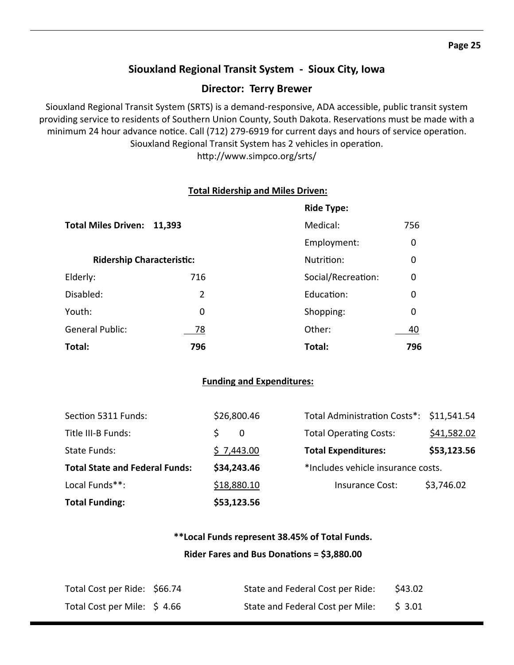## **Siouxland Regional Transit System ‐ Sioux City, Iowa**

#### **Director: Terry Brewer**

Siouxland Regional Transit System (SRTS) is a demand‐responsive, ADA accessible, public transit system providing service to residents of Southern Union County, South Dakota. Reservations must be made with a minimum 24 hour advance notice. Call (712) 279-6919 for current days and hours of service operation. Siouxland Regional Transit System has 2 vehicles in operation. http://www.simpco.org/srts/

**Total Ridership and Miles Driven:**

|                                  |        | <b>Ride Type:</b>  |             |
|----------------------------------|--------|--------------------|-------------|
| <b>Total Miles Driven:</b>       | 11,393 | Medical:           | 756         |
|                                  |        | Employment:        | 0           |
| <b>Ridership Characteristic:</b> |        | Nutrition:         | $\mathbf 0$ |
| Elderly:                         | 716    | Social/Recreation: | $\mathbf 0$ |
| Disabled:                        | 2      | Education:         | $\mathbf 0$ |
| Youth:                           | 0      | Shopping:          | $\mathbf 0$ |
| <b>General Public:</b>           | 78     | Other:             | 40          |
| Total:                           | 796    | Total:             | 796         |

#### **Funding and Expenditures:**

| <b>Total Funding:</b>                 | \$53,123.56  |                                          |             |
|---------------------------------------|--------------|------------------------------------------|-------------|
| Local Funds**:                        | \$18,880.10  | <b>Insurance Cost:</b>                   | \$3,746.02  |
| <b>Total State and Federal Funds:</b> | \$34,243.46  | *Includes vehicle insurance costs.       |             |
| State Funds:                          | \$7,443.00   | <b>Total Expenditures:</b>               | \$53,123.56 |
| Title III-B Funds:                    | $\mathbf{0}$ | <b>Total Operating Costs:</b>            | \$41,582.02 |
| Section 5311 Funds:                   | \$26,800.46  | Total Administration Costs*: \$11,541.54 |             |

## **\*\*Local Funds represent 38.45% of Total Funds. Rider Fares and Bus DonaƟons = \$3,880.00**

| Total Cost per Ride: \$66.74 | State and Federal Cost per Ride: | \$43.02 |
|------------------------------|----------------------------------|---------|
| Total Cost per Mile: \$4.66  | State and Federal Cost per Mile: | \$ 3.01 |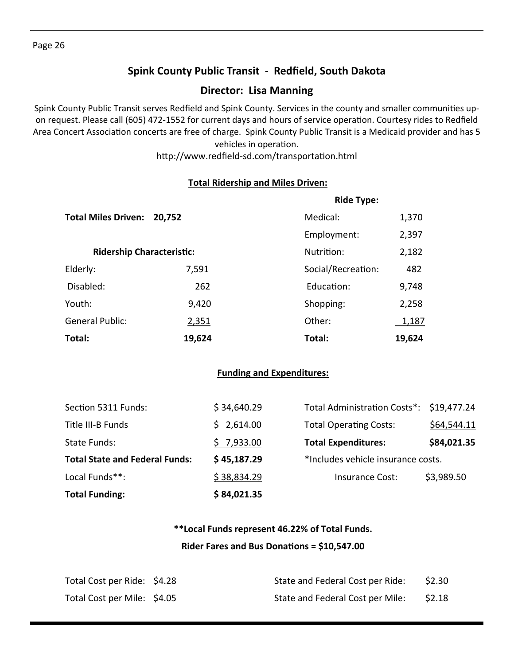## **Spink County Public Transit ‐ Redfield, South Dakota**

#### **Director: Lisa Manning**

Spink County Public Transit serves Redfield and Spink County. Services in the county and smaller communities upon request. Please call (605) 472-1552 for current days and hours of service operation. Courtesy rides to Redfield Area Concert Association concerts are free of charge. Spink County Public Transit is a Medicaid provider and has 5 vehicles in operation.

http://www.redfield-sd.com/transportation.html

#### **Total Ridership and Miles Driven:**

|                                  |        | <b>Ride Type:</b>  |        |
|----------------------------------|--------|--------------------|--------|
| <b>Total Miles Driven:</b>       | 20,752 | Medical:           | 1,370  |
|                                  |        | Employment:        | 2,397  |
| <b>Ridership Characteristic:</b> |        | Nutrition:         | 2,182  |
| Elderly:                         | 7,591  | Social/Recreation: | 482    |
| Disabled:                        | 262    | Education:         | 9,748  |
| Youth:                           | 9,420  | Shopping:          | 2,258  |
| <b>General Public:</b>           | 2,351  | Other:             | 1,187  |
| Total:                           | 19,624 | Total:             | 19,624 |

#### **Funding and Expenditures:**

| <b>Total Funding:</b>                 | \$84,021.35 |                                          |             |
|---------------------------------------|-------------|------------------------------------------|-------------|
| Local Funds**:                        | \$38,834.29 | Insurance Cost:                          | \$3,989.50  |
| <b>Total State and Federal Funds:</b> | \$45,187.29 | *Includes vehicle insurance costs.       |             |
| State Funds:                          | \$7,933.00  | <b>Total Expenditures:</b>               | \$84,021.35 |
| Title III-B Funds                     | \$2,614.00  | <b>Total Operating Costs:</b>            | \$64,544.11 |
| Section 5311 Funds:                   | \$34,640.29 | Total Administration Costs*: \$19,477.24 |             |

## **\*\*Local Funds represent 46.22% of Total Funds. Rider Fares and Bus DonaƟons = \$10,547.00**

| Total Cost per Ride: \$4.28 | State and Federal Cost per Ride: | \$2.30 |
|-----------------------------|----------------------------------|--------|
| Total Cost per Mile: \$4.05 | State and Federal Cost per Mile: | \$2.18 |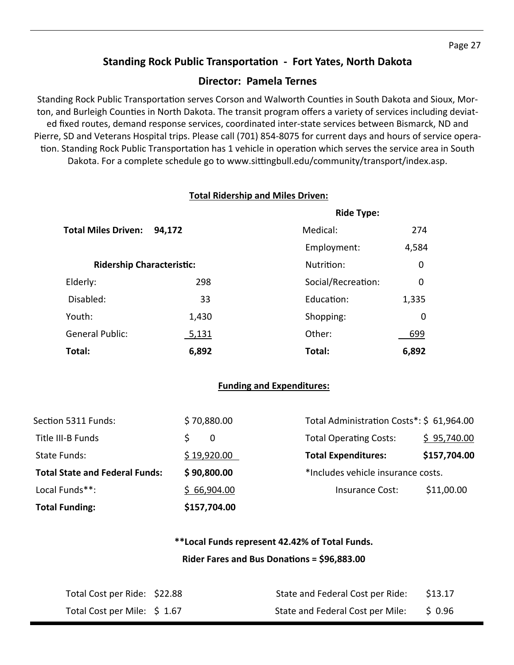#### **Standing Rock Public TransportaƟon ‐ Fort Yates, North Dakota**

#### **Director: Pamela Ternes**

Standing Rock Public Transportation serves Corson and Walworth Counties in South Dakota and Sioux, Morton, and Burleigh Counties in North Dakota. The transit program offers a variety of services including deviated fixed routes, demand response services, coordinated inter‐state services between Bismarck, ND and Pierre, SD and Veterans Hospital trips. Please call (701) 854‐8075 for current days and hours of service opera‐ tion. Standing Rock Public Transportation has 1 vehicle in operation which serves the service area in South Dakota. For a complete schedule go to www.sittingbull.edu/community/transport/index.asp.

#### **Total Ridership and Miles Driven:**

|                                  |              | <b>Ride Type:</b>  |             |
|----------------------------------|--------------|--------------------|-------------|
| <b>Total Miles Driven:</b>       | 94,172       | Medical:           | 274         |
|                                  |              | Employment:        | 4,584       |
| <b>Ridership Characteristic:</b> |              | Nutrition:         | 0           |
| Elderly:                         | 298          | Social/Recreation: | 0           |
| Disabled:                        | 33           | Education:         | 1,335       |
| Youth:                           | 1,430        | Shopping:          | $\mathbf 0$ |
| <b>General Public:</b>           | <u>5,131</u> | Other:             | 699         |
| Total:                           | 6,892        | Total:             | 6,892       |

#### **Funding and Expenditures:**

| <b>Total Funding:</b>                 | \$157,704.00 |                                           |              |
|---------------------------------------|--------------|-------------------------------------------|--------------|
| Local Funds**:                        | \$66,904.00  | Insurance Cost:                           | \$11,00.00   |
| <b>Total State and Federal Funds:</b> | \$90,800.00  | *Includes vehicle insurance costs.        |              |
| State Funds:                          | \$19,920.00  | <b>Total Expenditures:</b>                | \$157,704.00 |
| Title III-B Funds                     | $\Omega$     | <b>Total Operating Costs:</b>             | \$95,740.00  |
| Section 5311 Funds:                   | \$70,880.00  | Total Administration Costs*: \$ 61,964.00 |              |

## **\*\*Local Funds represent 42.42% of Total Funds. Rider Fares and Bus DonaƟons = \$96,883.00**

| Total Cost per Ride: \$22.88 | State and Federal Cost per Ride: | \$13.17 |
|------------------------------|----------------------------------|---------|
| Total Cost per Mile: \$1.67  | State and Federal Cost per Mile: | \$ 0.96 |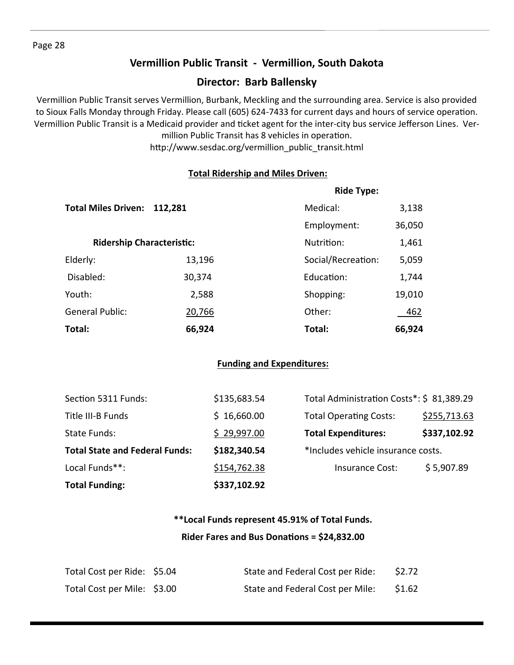## **Vermillion Public Transit ‐ Vermillion, South Dakota**

## **Director: Barb Ballensky**

Vermillion Public Transit serves Vermillion, Burbank, Meckling and the surrounding area. Service is also provided to Sioux Falls Monday through Friday. Please call (605) 624-7433 for current days and hours of service operation. Vermillion Public Transit is a Medicaid provider and ticket agent for the inter-city bus service Jefferson Lines. Vermillion Public Transit has 8 vehicles in operation.

http://www.sesdac.org/vermillion\_public\_transit.html

#### **Total Ridership and Miles Driven:**

|                            |                                  | <b>Ride Type:</b>  |        |
|----------------------------|----------------------------------|--------------------|--------|
| <b>Total Miles Driven:</b> | 112,281                          | Medical:           | 3,138  |
|                            |                                  | Employment:        | 36,050 |
|                            | <b>Ridership Characteristic:</b> | Nutrition:         | 1,461  |
| Elderly:                   | 13,196                           | Social/Recreation: | 5,059  |
| Disabled:                  | 30,374                           | Education:         | 1,744  |
| Youth:                     | 2,588                            | Shopping:          | 19,010 |
| <b>General Public:</b>     | 20,766                           | Other:             | 462    |
| Total:                     | 66,924                           | Total:             | 66,924 |

#### **Funding and Expenditures:**

| <b>Total Funding:</b>                 | \$337,102.92 |                                          |              |
|---------------------------------------|--------------|------------------------------------------|--------------|
| Local Funds**:                        | \$154,762.38 | Insurance Cost:                          | \$5,907.89   |
| <b>Total State and Federal Funds:</b> | \$182,340.54 | *Includes vehicle insurance costs.       |              |
| State Funds:                          | \$29,997.00  | <b>Total Expenditures:</b>               | \$337,102.92 |
| Title III-B Funds                     | \$16,660.00  | <b>Total Operating Costs:</b>            | \$255,713.63 |
| Section 5311 Funds:                   | \$135,683.54 | Total Administration Costs*: \$81,389.29 |              |

## **\*\*Local Funds represent 45.91% of Total Funds. Rider Fares and Bus DonaƟons = \$24,832.00**

| Total Cost per Ride: \$5.04 | State and Federal Cost per Ride: | \$2.72 |
|-----------------------------|----------------------------------|--------|
| Total Cost per Mile: \$3.00 | State and Federal Cost per Mile: | \$1.62 |

#### Page 28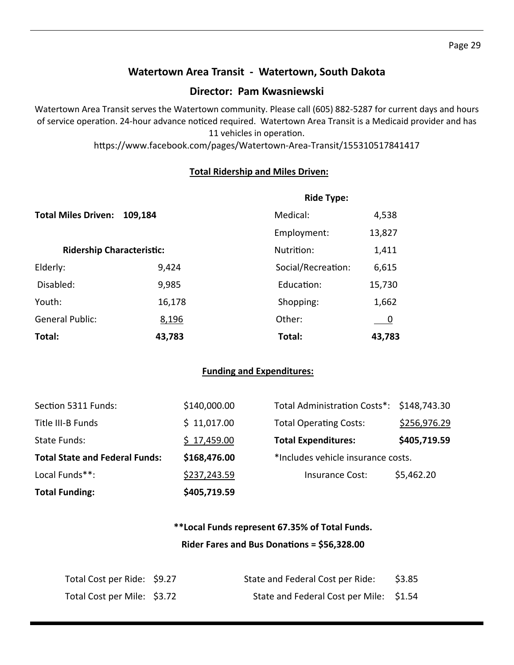## **Watertown Area Transit ‐ Watertown, South Dakota**

## **Director: Pam Kwasniewski**

Watertown Area Transit serves the Watertown community. Please call (605) 882‐5287 for current days and hours of service operation. 24-hour advance noticed required. Watertown Area Transit is a Medicaid provider and has 11 vehicles in operation.

https://www.facebook.com/pages/Watertown-Area-Transit/155310517841417

#### **Total Ridership and Miles Driven:**

|                                  |         | <b>Ride Type:</b>  |             |
|----------------------------------|---------|--------------------|-------------|
| <b>Total Miles Driven:</b>       | 109,184 | Medical:           | 4,538       |
|                                  |         | Employment:        | 13,827      |
| <b>Ridership Characteristic:</b> |         | Nutrition:         | 1,411       |
| Elderly:                         | 9,424   | Social/Recreation: | 6,615       |
| Disabled:                        | 9,985   | Education:         | 15,730      |
| Youth:                           | 16,178  | Shopping:          | 1,662       |
| <b>General Public:</b>           | 8,196   | Other:             | $\mathbf 0$ |
| Total:                           | 43,783  | Total:             | 43,783      |

#### **Funding and Expenditures:**

| <b>Total Funding:</b>                 | \$405,719.59 |                                           |              |
|---------------------------------------|--------------|-------------------------------------------|--------------|
| Local Funds**:                        | \$237,243.59 | <b>Insurance Cost:</b>                    | \$5,462.20   |
| <b>Total State and Federal Funds:</b> | \$168,476.00 | *Includes vehicle insurance costs.        |              |
| State Funds:                          | \$17,459.00  | <b>Total Expenditures:</b>                | \$405,719.59 |
| Title III-B Funds                     | \$11,017.00  | <b>Total Operating Costs:</b>             | \$256,976.29 |
| Section 5311 Funds:                   | \$140,000.00 | Total Administration Costs*: \$148,743.30 |              |

## **\*\*Local Funds represent 67.35% of Total Funds. Rider Fares and Bus DonaƟons = \$56,328.00**

| Total Cost per Ride: \$9.27 | State and Federal Cost per Ride:        | \$3.85 |
|-----------------------------|-----------------------------------------|--------|
| Total Cost per Mile: \$3.72 | State and Federal Cost per Mile: \$1.54 |        |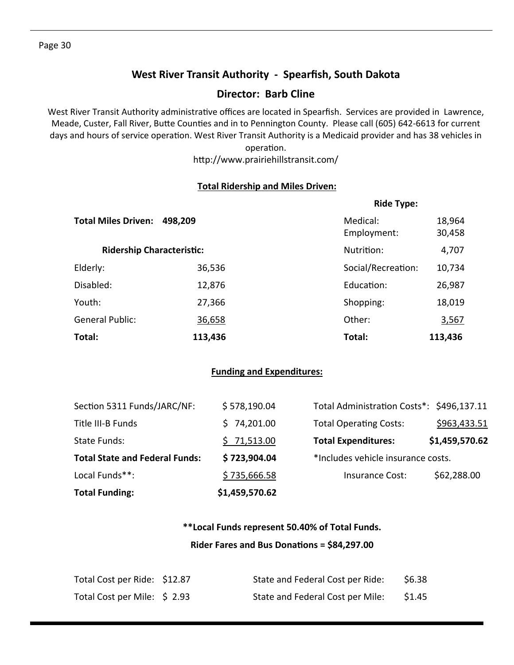## **West River Transit Authority ‐ Spearfish, South Dakota**

#### **Director: Barb Cline**

West River Transit Authority administrative offices are located in Spearfish. Services are provided in Lawrence, Meade, Custer, Fall River, Butte Counties and in to Pennington County. Please call (605) 642-6613 for current days and hours of service operation. West River Transit Authority is a Medicaid provider and has 38 vehicles in operation.

http://www.prairiehillstransit.com/

#### **Total Ridership and Miles Driven:**

|                                  |         | <b>Ride Type:</b>       |                  |  |
|----------------------------------|---------|-------------------------|------------------|--|
| <b>Total Miles Driven:</b>       | 498,209 | Medical:<br>Employment: | 18,964<br>30,458 |  |
| <b>Ridership Characteristic:</b> |         | Nutrition:              | 4,707            |  |
| Elderly:                         | 36,536  | Social/Recreation:      | 10,734           |  |
| Disabled:                        | 12,876  | Education:              | 26,987           |  |
| Youth:                           | 27,366  | Shopping:               | 18,019           |  |
| <b>General Public:</b>           | 36,658  | Other:                  | 3,567            |  |
| Total:                           | 113,436 | Total:                  | 113,436          |  |

#### **Funding and Expenditures:**

| <b>Total Funding:</b>                 | \$1,459,570.62 |                                           |                |
|---------------------------------------|----------------|-------------------------------------------|----------------|
| Local Funds**:                        | \$735,666.58   | Insurance Cost:                           | \$62,288.00    |
| <b>Total State and Federal Funds:</b> | \$723,904.04   | *Includes vehicle insurance costs.        |                |
| State Funds:                          | \$71,513.00    | <b>Total Expenditures:</b>                | \$1,459,570.62 |
| Title III-B Funds                     | 74,201.00      | <b>Total Operating Costs:</b>             | \$963,433.51   |
| Section 5311 Funds/JARC/NF:           | \$578,190.04   | Total Administration Costs*: \$496,137.11 |                |

## **\*\*Local Funds represent 50.40% of Total Funds. Rider Fares and Bus DonaƟons = \$84,297.00**

| Total Cost per Ride: \$12.87 | State and Federal Cost per Ride: | \$6.38 |
|------------------------------|----------------------------------|--------|
| Total Cost per Mile: \$2.93  | State and Federal Cost per Mile: | \$1.45 |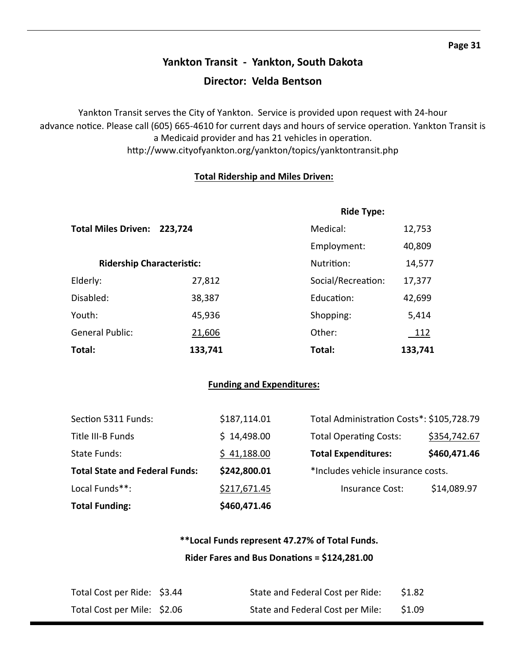# **Yankton Transit ‐ Yankton, South Dakota Director: Velda Bentson**

Yankton Transit serves the City of Yankton. Service is provided upon request with 24‐hour advance notice. Please call (605) 665-4610 for current days and hours of service operation. Yankton Transit is a Medicaid provider and has 21 vehicles in operation. http://www.cityofyankton.org/yankton/topics/yanktontransit.php

#### **Total Ridership and Miles Driven:**

|                                  |         | <b>Ride Type:</b>  |             |  |
|----------------------------------|---------|--------------------|-------------|--|
| <b>Total Miles Driven:</b>       | 223,724 |                    | 12,753      |  |
|                                  |         | Employment:        | 40,809      |  |
| <b>Ridership Characteristic:</b> |         | Nutrition:         | 14,577      |  |
| Elderly:                         | 27,812  | Social/Recreation: | 17,377      |  |
| Disabled:                        | 38,387  | Education:         | 42,699      |  |
| Youth:                           | 45,936  | Shopping:          | 5,414       |  |
| <b>General Public:</b>           | 21,606  | Other:             | <u> 112</u> |  |
| Total:                           | 133,741 | Total:             | 133,741     |  |

#### **Funding and Expenditures:**

| <b>Total Funding:</b>                 | \$460,471.46 |                                           |              |
|---------------------------------------|--------------|-------------------------------------------|--------------|
| Local Funds**:                        | \$217,671.45 | Insurance Cost:                           | \$14,089.97  |
| <b>Total State and Federal Funds:</b> | \$242,800.01 | *Includes vehicle insurance costs.        |              |
| State Funds:                          | \$41,188.00  | <b>Total Expenditures:</b>                | \$460,471.46 |
| Title III-B Funds                     | \$14,498.00  | <b>Total Operating Costs:</b>             | \$354,742.67 |
| Section 5311 Funds:                   | \$187,114.01 | Total Administration Costs*: \$105,728.79 |              |

## **\*\*Local Funds represent 47.27% of Total Funds. Rider Fares and Bus DonaƟons = \$124,281.00**

| Total Cost per Ride: \$3.44 | State and Federal Cost per Ride: | \$1.82 |
|-----------------------------|----------------------------------|--------|
| Total Cost per Mile: \$2.06 | State and Federal Cost per Mile: | \$1.09 |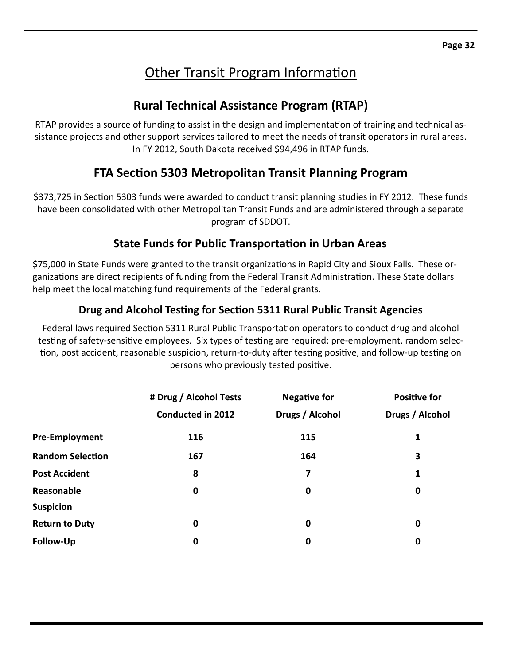# Other Transit Program Information

# **Rural Technical Assistance Program (RTAP)**

RTAP provides a source of funding to assist in the design and implementation of training and technical assistance projects and other support services tailored to meet the needs of transit operators in rural areas. In FY 2012, South Dakota received \$94,496 in RTAP funds.

# **FTA SecƟon 5303 Metropolitan Transit Planning Program**

\$373,725 in Section 5303 funds were awarded to conduct transit planning studies in FY 2012. These funds have been consolidated with other Metropolitan Transit Funds and are administered through a separate program of SDDOT.

## **State Funds for Public TransportaƟon in Urban Areas**

\$75,000 in State Funds were granted to the transit organizations in Rapid City and Sioux Falls. These organizations are direct recipients of funding from the Federal Transit Administration. These State dollars help meet the local matching fund requirements of the Federal grants.

## **Drug and Alcohol TesƟng for SecƟon 5311 Rural Public Transit Agencies**

Federal laws required Section 5311 Rural Public Transportation operators to conduct drug and alcohol testing of safety-sensitive employees. Six types of testing are required: pre-employment, random selection, post accident, reasonable suspicion, return-to-duty after testing positive, and follow-up testing on persons who previously tested positive.

|                         | # Drug / Alcohol Tests   | <b>Negative for</b> | <b>Positive for</b> |
|-------------------------|--------------------------|---------------------|---------------------|
|                         | <b>Conducted in 2012</b> | Drugs / Alcohol     | Drugs / Alcohol     |
| <b>Pre-Employment</b>   | 116                      | 115                 | 1                   |
| <b>Random Selection</b> | 167                      | 164                 | 3                   |
| <b>Post Accident</b>    | 8                        | 7                   | 1                   |
| Reasonable              | $\boldsymbol{0}$         | 0                   | $\bf{0}$            |
| <b>Suspicion</b>        |                          |                     |                     |
| <b>Return to Duty</b>   | 0                        | 0                   | $\bf{0}$            |
| Follow-Up               | 0                        | 0                   | 0                   |